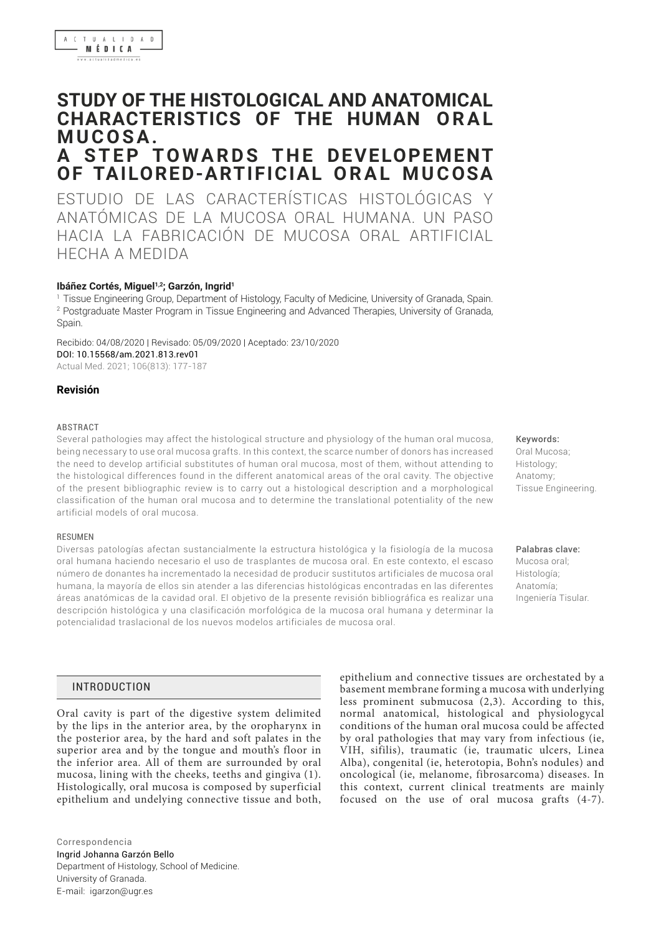# **STUDY OF THE HISTOLOGICAL AND ANATOMICAL CHARACTERISTICS OF THE HUMAN ORAL M U C O S A .**

# **A STEP TOWARDS THE DEVELOPEMENT OF TAILORED-ARTIFICIAL ORAL MUCOSA**

ESTUDIO DE LAS CARACTERÍSTICAS HISTOLÓGICAS Y ANATÓMICAS DE LA MUCOSA ORAL HUMANA. UN PASO HACIA LA FABRICACIÓN DE MUCOSA ORAL ARTIFICIAL HECHA A MEDIDA

## Ibáñez Cortés, Miguel<sup>1,2</sup>; Garzón, Ingrid<sup>1</sup>

1 Tissue Engineering Group, Department of Histology, Faculty of Medicine, University of Granada, Spain. 2 Postgraduate Master Program in Tissue Engineering and Advanced Therapies, University of Granada, Spain.

Recibido: 04/08/2020 | Revisado: 05/09/2020 | Aceptado: 23/10/2020 DOI: 10.15568/am.2021.813.rev01 Actual Med. 2021; 106(813): 177-187

## **Revisión**

#### ABSTRACT

Several pathologies may affect the histological structure and physiology of the human oral mucosa, being necessary to use oral mucosa grafts. In this context, the scarce number of donors has increased the need to develop artificial substitutes of human oral mucosa, most of them, without attending to the histological differences found in the different anatomical areas of the oral cavity. The objective of the present bibliographic review is to carry out a histological description and a morphological classification of the human oral mucosa and to determine the translational potentiality of the new artificial models of oral mucosa.

#### **RESUMEN**

Diversas patologías afectan sustancialmente la estructura histológica y la fisiología de la mucosa oral humana haciendo necesario el uso de trasplantes de mucosa oral. En este contexto, el escaso número de donantes ha incrementado la necesidad de producir sustitutos artificiales de mucosa oral humana, la mayoría de ellos sin atender a las diferencias histológicas encontradas en las diferentes áreas anatómicas de la cavidad oral. El objetivo de la presente revisión bibliográfica es realizar una descripción histológica y una clasificación morfológica de la mucosa oral humana y determinar la potencialidad traslacional de los nuevos modelos artificiales de mucosa oral.

# INTRODUCTION

Oral cavity is part of the digestive system delimited by the lips in the anterior area, by the oropharynx in the posterior area, by the hard and soft palates in the superior area and by the tongue and mouth's floor in the inferior area. All of them are surrounded by oral mucosa, lining with the cheeks, teeths and gingiva (1). Histologically, oral mucosa is composed by superficial epithelium and undelying connective tissue and both,

Ingrid Johanna Garzón Bello Department of Histology, School of Medicine. University of Granada. E-mail: [igarzon@ugr.es](mailto:igarzon@ugr.es) Correspondencia

epithelium and connective tissues are orchestated by a basement membrane forming a mucosa with underlying less prominent submucosa (2,3). According to this, normal anatomical, histological and physiologycal conditions of the human oral mucosa could be affected by oral pathologies that may vary from infectious (ie, VIH, sifilis), traumatic (ie, traumatic ulcers, Linea Alba), congenital (ie, heterotopia, Bohn's nodules) and oncological (ie, melanome, fibrosarcoma) diseases. In this context, current clinical treatments are mainly focused on the use of oral mucosa grafts (4-7).

Keywords: Oral Mucosa; Histology; Anatomy; Tissue Engineering.

Palabras clave:

Mucosa oral; Histología; Anatomía; Ingeniería Tisular.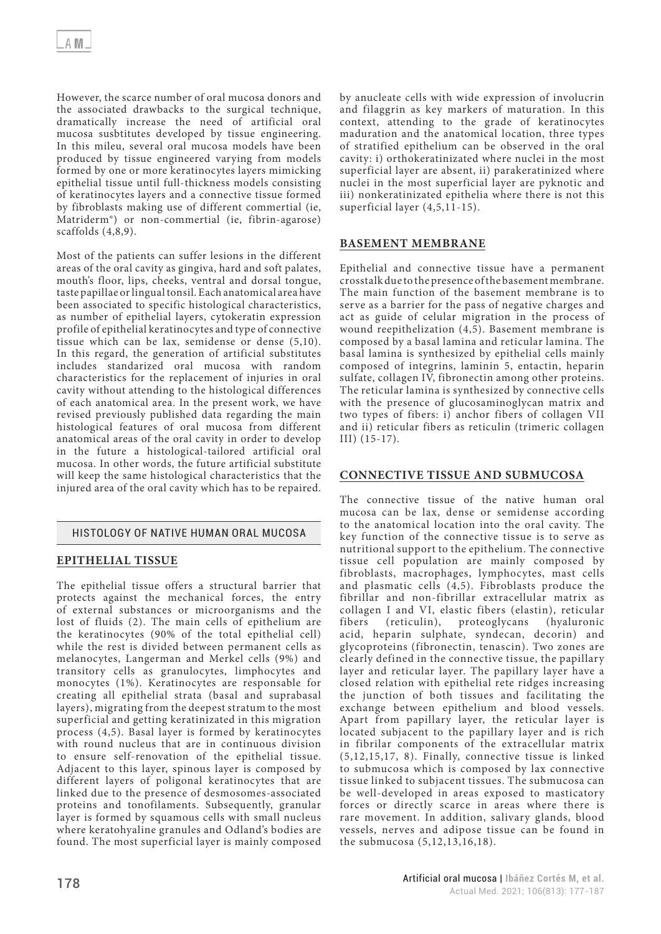However, the scarce number of oral mucosa donors and the associated drawbacks to the surgical technique, dramatically increase the need of artificial oral mucosa susbtitutes developed by tissue engineering. In this mileu, several oral mucosa models have been produced by tissue engineered varying from models formed by one or more keratinocytes layers mimicking epithelial tissue until full-thickness models consisting of keratinocytes layers and a connective tissue formed by fibroblasts making use of different commertial (ie, Matriderm®) or non-commertial (ie, fibrin-agarose) scaffolds (4,8,9).

Most of the patients can suffer lesions in the different areas of the oral cavity as gingiva, hard and soft palates, mouth's floor, lips, cheeks, ventral and dorsal tongue, taste papillae or lingual tonsil. Each anatomical area have been associated to specific histological characteristics, as number of epithelial layers, cytokeratin expression profile of epithelial keratinocytes and type of connective tissue which can be lax, semidense or dense (5,10). In this regard, the generation of artificial substitutes includes standarized oral mucosa with random characteristics for the replacement of injuries in oral cavity without attending to the histological differences of each anatomical area. In the present work, we have revised previously published data regarding the main histological features of oral mucosa from different anatomical areas of the oral cavity in order to develop in the future a histological-tailored artificial oral mucosa. In other words, the future artificial substitute will keep the same histological characteristics that the injured area of the oral cavity which has to be repaired.

# HISTOLOGY OF NATIVE HUMAN ORAL MUCOSA

# **EPITHELIAL TISSUE**

The epithelial tissue offers a structural barrier that protects against the mechanical forces, the entry of external substances or microorganisms and the lost of fluids (2). The main cells of epithelium are the keratinocytes (90% of the total epithelial cell) while the rest is divided between permanent cells as melanocytes, Langerman and Merkel cells (9%) and transitory cells as granulocytes, limphocytes and monocytes (1%). Keratinocytes are responsable for creating all epithelial strata (basal and suprabasal layers), migrating from the deepest stratum to the most superficial and getting keratinizated in this migration process (4,5). Basal layer is formed by keratinocytes with round nucleus that are in continuous division to ensure self-renovation of the epithelial tissue. Adjacent to this layer, spinous layer is composed by different layers of poligonal keratinocytes that are linked due to the presence of desmosomes-associated proteins and tonofilaments. Subsequently, granular layer is formed by squamous cells with small nucleus where keratohyaline granules and Odland's bodies are found. The most superficial layer is mainly composed by anucleate cells with wide expression of involucrin and filaggrin as key markers of maturation. In this context, attending to the grade of keratinocytes maduration and the anatomical location, three types of stratified epithelium can be observed in the oral cavity: i) orthokeratinizated where nuclei in the most superficial layer are absent, ii) parakeratinized where nuclei in the most superficial layer are pyknotic and iii) nonkeratinizated epithelia where there is not this superficial layer (4,5,11-15).

# **BASEMENT MEMBRANE**

Epithelial and connective tissue have a permanent crosstalk due to the presence of the basement membrane. The main function of the basement membrane is to serve as a barrier for the pass of negative charges and act as guide of celular migration in the process of wound reepithelization (4,5). Basement membrane is composed by a basal lamina and reticular lamina. The basal lamina is synthesized by epithelial cells mainly composed of integrins, laminin 5, entactin, heparin sulfate, collagen IV, fibronectin among other proteins. The reticular lamina is synthesized by connective cells with the presence of glucosaminoglycan matrix and two types of fibers: i) anchor fibers of collagen VII and ii) reticular fibers as reticulin (trimeric collagen III) (15-17).

## **CONNECTIVE TISSUE AND SUBMUCOSA**

The connective tissue of the native human oral mucosa can be lax, dense or semidense according to the anatomical location into the oral cavity. The key function of the connective tissue is to serve as nutritional support to the epithelium. The connective tissue cell population are mainly composed by fibroblasts, macrophages, lymphocytes, mast cells and plasmatic cells  $(4,5)$ . Fibroblasts produce the fibrillar and non-fibrillar extracellular matrix as collagen I and VI, elastic fibers (elastin), reticular fibers (reticulin), proteoglycans (hyaluronic acid, heparin sulphate, syndecan, decorin) and glycoproteins (fibronectin, tenascin). Two zones are clearly defined in the connective tissue, the papillary layer and reticular layer. The papillary layer have a closed relation with epithelial rete ridges increasing the junction of both tissues and facilitating the exchange between epithelium and blood vessels. Apart from papillary layer, the reticular layer is located subjacent to the papillary layer and is rich in fibrilar components of the extracellular matrix (5,12,15,17, 8). Finally, connective tissue is linked to submucosa which is composed by lax connective tissue linked to subjacent tissues. The submucosa can be well-developed in areas exposed to masticatory forces or directly scarce in areas where there is rare movement. In addition, salivary glands, blood vessels, nerves and adipose tissue can be found in the submucosa (5,12,13,16,18).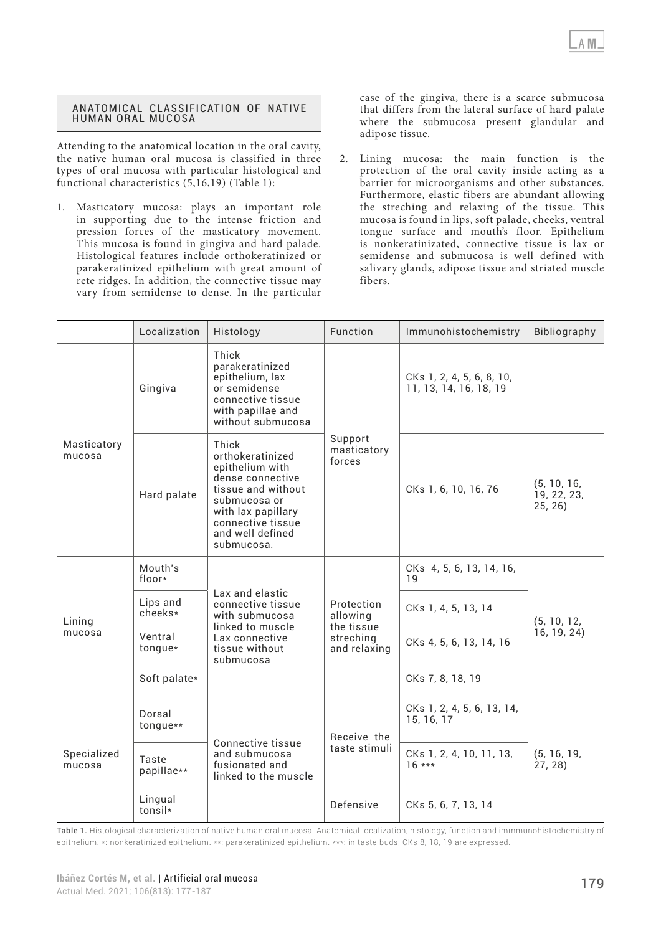#### ANATOMICAL CLASSIFICATION OF NATIVE HUMAN ORAL MUCOSA

Attending to the anatomical location in the oral cavity, the native human oral mucosa is classified in three types of oral mucosa with particular histological and functional characteristics (5,16,19) (Table 1):

1. Masticatory mucosa: plays an important role in supporting due to the intense friction and pression forces of the masticatory movement. This mucosa is found in gingiva and hard palade. Histological features include orthokeratinized or parakeratinized epithelium with great amount of rete ridges. In addition, the connective tissue may vary from semidense to dense. In the particular

case of the gingiva, there is a scarce submucosa that differs from the lateral surface of hard palate where the submucosa present glandular and adipose tissue.

2. Lining mucosa: the main function is the protection of the oral cavity inside acting as a barrier for microorganisms and other substances. Furthermore, elastic fibers are abundant allowing the streching and relaxing of the tissue. This mucosa is found in lips, soft palade, cheeks, ventral tongue surface and mouth's floor. Epithelium is nonkeratinizated, connective tissue is lax or semidense and submucosa is well defined with salivary glands, adipose tissue and striated muscle fibers.

|                       | Localization        | Histology                                                                                                                                                                           | Function                                                          | Immunohistochemistry                                | Bibliography                          |  |  |
|-----------------------|---------------------|-------------------------------------------------------------------------------------------------------------------------------------------------------------------------------------|-------------------------------------------------------------------|-----------------------------------------------------|---------------------------------------|--|--|
| Masticatory<br>mucosa | Gingiva             | Thick<br>parakeratinized<br>epithelium, lax<br>or semidense<br>connective tissue<br>with papillae and<br>without submucosa                                                          |                                                                   | CKs 1, 2, 4, 5, 6, 8, 10,<br>11, 13, 14, 16, 18, 19 |                                       |  |  |
|                       | Hard palate         | Thick<br>orthokeratinized<br>epithelium with<br>dense connective<br>tissue and without<br>submucosa or<br>with lax papillary<br>connective tissue<br>and well defined<br>submucosa. | Support<br>masticatory<br>forces                                  | CKs 1, 6, 10, 16, 76                                | (5, 10, 16,<br>19, 22, 23,<br>25, 26) |  |  |
|                       | Mouth's<br>floor*   |                                                                                                                                                                                     |                                                                   | CKs 4, 5, 6, 13, 14, 16,<br>19                      |                                       |  |  |
| Lining                | Lips and<br>cheeks* | Lax and elastic<br>connective tissue<br>with submucosa                                                                                                                              | Protection<br>allowing<br>the tissue<br>streching<br>and relaxing | CKs 1, 4, 5, 13, 14                                 | (5, 10, 12,                           |  |  |
| mucosa                | Ventral<br>tongue*  | linked to muscle<br>Lax connective<br>tissue without                                                                                                                                |                                                                   | CKs 4, 5, 6, 13, 14, 16                             | 16, 19, 24)                           |  |  |
|                       | Soft palate*        | submucosa                                                                                                                                                                           |                                                                   | CKs 7, 8, 18, 19                                    |                                       |  |  |
| Specialized<br>mucosa | Dorsal<br>tongue**  |                                                                                                                                                                                     | Receive the                                                       | CKs 1, 2, 4, 5, 6, 13, 14,<br>15, 16, 17            |                                       |  |  |
|                       | Taste<br>papillae** | Connective tissue<br>and submucosa<br>fusionated and<br>linked to the muscle                                                                                                        | taste stimuli                                                     | CKs 1, 2, 4, 10, 11, 13,<br>$16***$                 | (5, 16, 19,<br>27, 28)                |  |  |
|                       | Lingual<br>tonsil*  |                                                                                                                                                                                     | Defensive                                                         | CKs 5, 6, 7, 13, 14                                 |                                       |  |  |

Table 1. Histological characterization of native human oral mucosa. Anatomical localization, histology, function and immmunohistochemistry of epithelium. \*: nonkeratinized epithelium. \*\*: parakeratinized epithelium. \*\*\*: in taste buds, CKs 8, 18, 19 are expressed.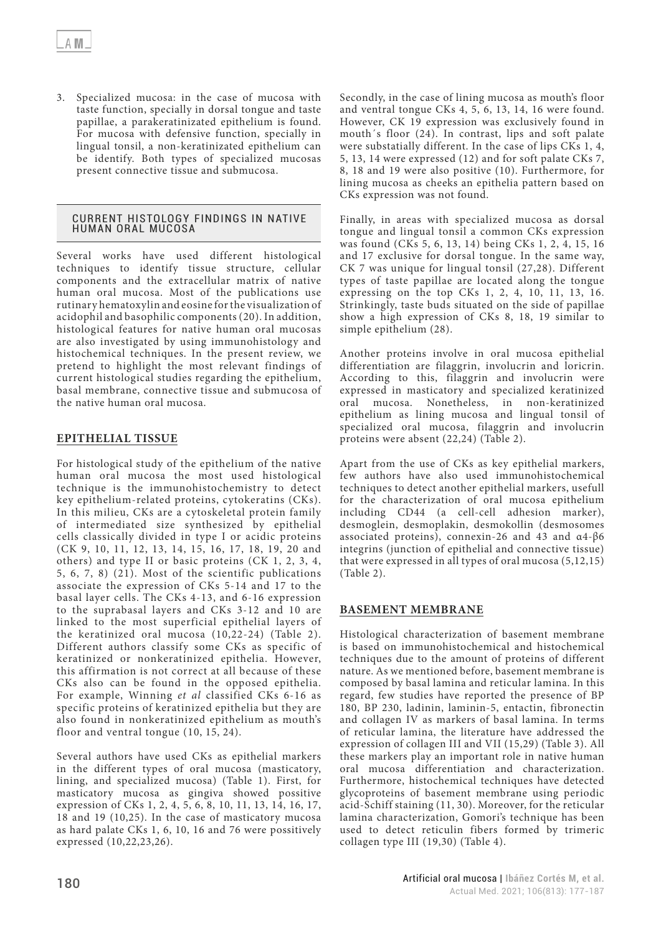3. Specialized mucosa: in the case of mucosa with taste function, specially in dorsal tongue and taste papillae, a parakeratinizated epithelium is found. For mucosa with defensive function, specially in lingual tonsil, a non-keratinizated epithelium can be identify. Both types of specialized mucosas present connective tissue and submucosa.

## CURRENT HISTOLOGY FINDINGS IN NATIVE HUMAN ORAL MUCOSA

Several works have used different histological techniques to identify tissue structure, cellular components and the extracellular matrix of native human oral mucosa. Most of the publications use rutinary hematoxylin and eosine for the visualization of acidophil and basophilic components (20). In addition, histological features for native human oral mucosas are also investigated by using immunohistology and histochemical techniques. In the present review, we pretend to highlight the most relevant findings of current histological studies regarding the epithelium, basal membrane, connective tissue and submucosa of the native human oral mucosa.

# **EPITHELIAL TISSUE**

For histological study of the epithelium of the native human oral mucosa the most used histological technique is the immunohistochemistry to detect key epithelium-related proteins, cytokeratins (CKs). In this milieu, CKs are a cytoskeletal protein family of intermediated size synthesized by epithelial cells classically divided in type I or acidic proteins (CK 9, 10, 11, 12, 13, 14, 15, 16, 17, 18, 19, 20 and others) and type II or basic proteins (CK 1, 2, 3, 4, 5, 6, 7, 8) (21). Most of the scientific publications associate the expression of CKs 5-14 and 17 to the basal layer cells. The CKs 4-13, and 6-16 expression to the suprabasal layers and CKs 3-12 and 10 are linked to the most superficial epithelial layers of the keratinized oral mucosa (10,22-24) (Table 2). Different authors classify some CKs as specific of keratinized or nonkeratinized epithelia. However, this affirmation is not correct at all because of these CKs also can be found in the opposed epithelia. For example, Winning *et al* classified CKs 6-16 as specific proteins of keratinized epithelia but they are also found in nonkeratinized epithelium as mouth's floor and ventral tongue (10, 15, 24).

Several authors have used CKs as epithelial markers in the different types of oral mucosa (masticatory, lining, and specialized mucosa) (Table 1). First, for masticatory mucosa as gingiva showed possitive expression of CKs 1, 2, 4, 5, 6, 8, 10, 11, 13, 14, 16, 17, 18 and 19 (10,25). In the case of masticatory mucosa as hard palate CKs 1, 6, 10, 16 and 76 were possitively expressed (10,22,23,26).

Secondly, in the case of lining mucosa as mouth's floor and ventral tongue CKs 4, 5, 6, 13, 14, 16 were found. However, CK 19 expression was exclusively found in mouth´s floor (24). In contrast, lips and soft palate were substatially different. In the case of lips CKs 1, 4, 5, 13, 14 were expressed (12) and for soft palate CKs 7, 8, 18 and 19 were also positive (10). Furthermore, for lining mucosa as cheeks an epithelia pattern based on CKs expression was not found.

Finally, in areas with specialized mucosa as dorsal tongue and lingual tonsil a common CKs expression was found (CKs 5, 6, 13, 14) being CKs 1, 2, 4, 15, 16 and 17 exclusive for dorsal tongue. In the same way, CK 7 was unique for lingual tonsil (27,28). Different types of taste papillae are located along the tongue expressing on the top CKs 1, 2, 4, 10, 11, 13, 16. Strinkingly, taste buds situated on the side of papillae show a high expression of CKs 8, 18, 19 similar to simple epithelium (28).

Another proteins involve in oral mucosa epithelial differentiation are filaggrin, involucrin and loricrin. According to this, filaggrin and involucrin were expressed in masticatory and specialized keratinized oral mucosa. Nonetheless, in non-keratinized epithelium as lining mucosa and lingual tonsil of specialized oral mucosa, filaggrin and involucrin proteins were absent (22,24) (Table 2).

Apart from the use of CKs as key epithelial markers, few authors have also used immunohistochemical techniques to detect another epithelial markers, usefull for the characterization of oral mucosa epithelium including CD44 (a cell-cell adhesion marker), desmoglein, desmoplakin, desmokollin (desmosomes associated proteins), connexin-26 and 43 and α4-β6 integrins (junction of epithelial and connective tissue) that were expressed in all types of oral mucosa (5,12,15) (Table 2).

# **BASEMENT MEMBRANE**

Histological characterization of basement membrane is based on immunohistochemical and histochemical techniques due to the amount of proteins of different nature. As we mentioned before, basement membrane is composed by basal lamina and reticular lamina. In this regard, few studies have reported the presence of BP 180, BP 230, ladinin, laminin-5, entactin, fibronectin and collagen IV as markers of basal lamina. In terms of reticular lamina, the literature have addressed the expression of collagen III and VII (15,29) (Table 3). All these markers play an important role in native human oral mucosa differentiation and characterization. Furthermore, histochemical techniques have detected glycoproteins of basement membrane using periodic acid-Schiff staining (11, 30). Moreover, for the reticular lamina characterization, Gomori's technique has been used to detect reticulin fibers formed by trimeric collagen type III (19,30) (Table 4).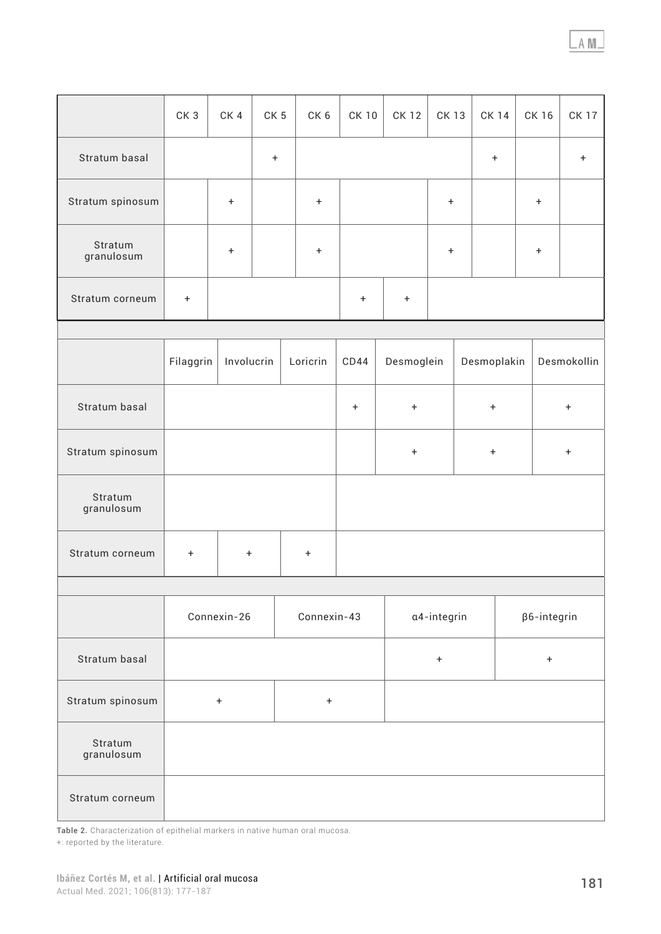|                               | CK <sub>3</sub>                      | CK4       | CK <sub>5</sub> | CK <sub>6</sub> | <b>CK10</b>                          | <b>CK12</b>                      | <b>CK13</b> | <b>CK 14</b>     | CK 16              |                                  | <b>CK17</b> |
|-------------------------------|--------------------------------------|-----------|-----------------|-----------------|--------------------------------------|----------------------------------|-------------|------------------|--------------------|----------------------------------|-------------|
| Stratum basal                 |                                      |           | $^{\mathrm{+}}$ |                 |                                      |                                  |             | $\boldsymbol{+}$ |                    |                                  | $\ddot{}$   |
| Stratum spinosum              |                                      | $\ddot{}$ |                 | $\ddot{}$       |                                      |                                  | $\ddot{}$   |                  | $\ddot{}$          |                                  |             |
| Stratum<br>granulosum         |                                      | $\bf{+}$  |                 | $\ddot{}$       | $\ddot{}$                            |                                  |             | $\bf{+}$         |                    |                                  |             |
| Stratum corneum               | $\begin{array}{c} + \end{array}$     |           |                 |                 | $\ddot{}$                            | $\ddot{}$                        |             |                  |                    |                                  |             |
|                               |                                      |           |                 |                 |                                      |                                  |             |                  |                    |                                  |             |
|                               | Filaggrin<br>Involucrin<br>Loricrin  |           |                 |                 | CD44                                 | Desmoglein                       |             | Desmoplakin      |                    | Desmokollin                      |             |
| Stratum basal                 |                                      |           |                 |                 | $\boldsymbol{+}$<br>$\boldsymbol{+}$ |                                  |             | $\boldsymbol{+}$ |                    | $\boldsymbol{+}$                 |             |
| Stratum spinosum              |                                      |           |                 |                 |                                      | $\begin{array}{c} + \end{array}$ |             |                  |                    | $\begin{array}{c} + \end{array}$ |             |
| Stratum<br>granulosum         |                                      |           |                 |                 |                                      |                                  |             |                  |                    |                                  |             |
| Stratum corneum               | $\boldsymbol{+}$<br>$\boldsymbol{+}$ |           |                 | $\ddot{}$       |                                      |                                  |             |                  |                    |                                  |             |
|                               |                                      |           |                 |                 |                                      |                                  |             |                  |                    |                                  |             |
|                               | Connexin-26                          |           |                 | Connexin-43     |                                      |                                  | a4-integrin |                  | $\beta$ 6-integrin |                                  |             |
| Stratum basal                 |                                      |           |                 |                 |                                      |                                  |             | $\boldsymbol{+}$ |                    |                                  |             |
| Stratum spinosum<br>$\ddot{}$ |                                      |           | $^{\rm +}$      |                 |                                      |                                  |             |                  |                    |                                  |             |
| Stratum<br>granulosum         |                                      |           |                 |                 |                                      |                                  |             |                  |                    |                                  |             |
| Stratum corneum               |                                      |           |                 |                 |                                      |                                  |             |                  |                    |                                  |             |

Table 2. Characterization of epithelial markers in native human oral mucosa.

 $\overline{\phantom{a}}$ 

-1

 $\overline{\phantom{a}}$ 

 $\overline{\phantom{a}}$ 

+: reported by the literature.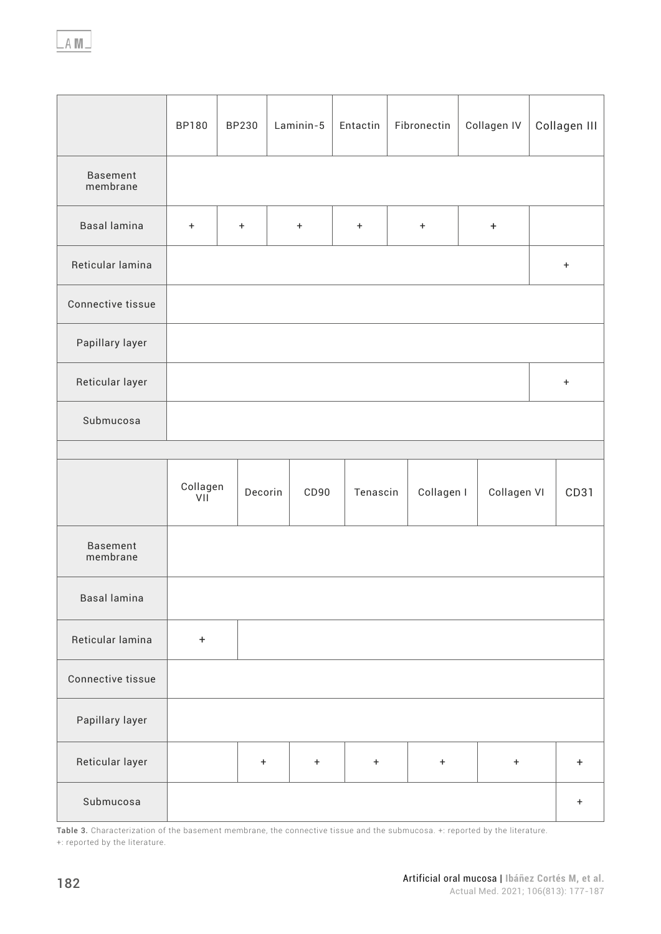|                             | BP180           | BP230     | Laminin-5 | Entactin  | Fibronectin                      | Collagen IV      | Collagen III |
|-----------------------------|-----------------|-----------|-----------|-----------|----------------------------------|------------------|--------------|
| <b>Basement</b><br>membrane |                 |           |           |           |                                  |                  |              |
| <b>Basal lamina</b>         | $\ddot{}$       | $\ddot{}$ | $\ddag$   | $\pm$     | $\pm$                            | $\boldsymbol{+}$ |              |
| Reticular lamina            |                 |           |           |           |                                  |                  | $\pm$        |
| Connective tissue           |                 |           |           |           |                                  |                  |              |
| Papillary layer             |                 |           |           |           |                                  |                  |              |
| Reticular layer             |                 |           |           |           |                                  |                  | $\pm$        |
| Submucosa                   |                 |           |           |           |                                  |                  |              |
|                             |                 |           |           |           |                                  |                  |              |
|                             | Collagen<br>VII | Decorin   | CD90      | Tenascin  | Collagen I                       | Collagen VI      | CD31         |
| <b>Basement</b><br>membrane |                 |           |           |           |                                  |                  |              |
| <b>Basal lamina</b>         |                 |           |           |           |                                  |                  |              |
| Reticular lamina            | $+$             |           |           |           |                                  |                  |              |
| Connective tissue           |                 |           |           |           |                                  |                  |              |
| Papillary layer             |                 |           |           |           |                                  |                  |              |
| Reticular layer             |                 |           |           |           |                                  |                  |              |
|                             |                 | $\ddot{}$ | $+$       | $\ddot{}$ | $\begin{array}{c} + \end{array}$ | $\ddot{}$        | $+$          |

Table 3. Characterization of the basement membrane, the connective tissue and the submucosa. +: reported by the literature. +: reported by the literature.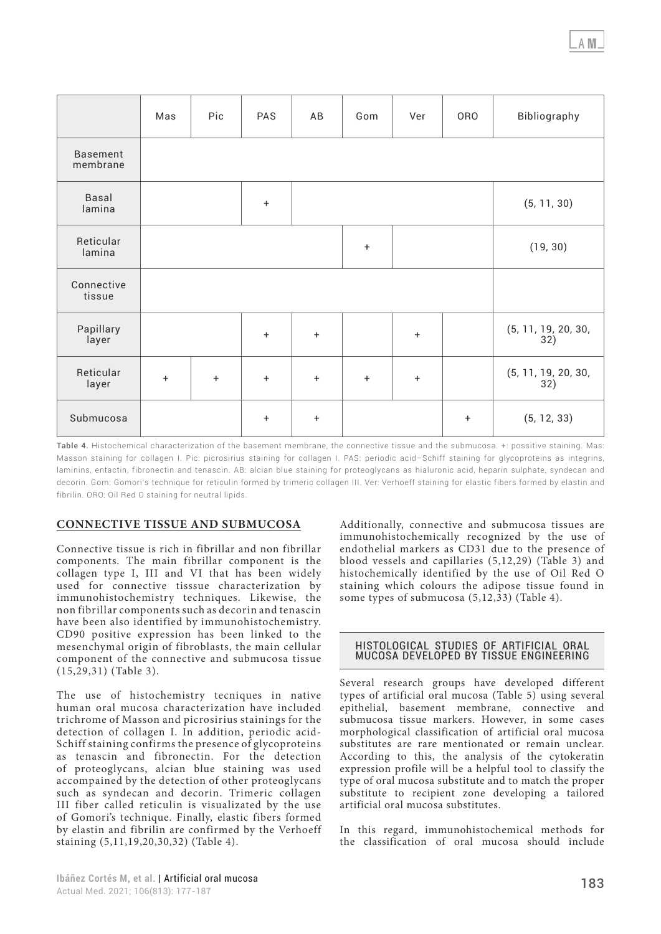|                             | Mas | Pic       | PAS       | AB                     | Gom       | Ver       | <b>ORO</b>                 | Bibliography               |  |
|-----------------------------|-----|-----------|-----------|------------------------|-----------|-----------|----------------------------|----------------------------|--|
| <b>Basement</b><br>membrane |     |           |           |                        |           |           |                            |                            |  |
| <b>Basal</b><br>lamina      |     |           | $\ddot{}$ |                        |           |           | (5, 11, 30)                |                            |  |
| Reticular<br>lamina         |     |           |           |                        | $\ddot{}$ | (19, 30)  |                            |                            |  |
| Connective<br>tissue        |     |           |           |                        |           |           |                            |                            |  |
| Papillary<br>layer          |     |           | $\ddot{}$ | $\ddot{}$<br>$\ddot{}$ |           |           | (5, 11, 19, 20, 30,<br>32) |                            |  |
| Reticular<br>layer          | $+$ | $\ddot{}$ | $\ddot{}$ | $\ddot{}$              | $\ddot{}$ | $\ddot{}$ |                            | (5, 11, 19, 20, 30,<br>32) |  |
| Submucosa                   |     |           | $\ddot{}$ | $\ddot{}$              |           |           | $\ddot{}$                  | (5, 12, 33)                |  |

Table 4. Histochemical characterization of the basement membrane, the connective tissue and the submucosa. +: possitive staining. Mas: Masson staining for collagen I. Pic: picrosirius staining for collagen I. PAS: periodic acid–Schiff staining for glycoproteins as integrins, laminins, entactin, fibronectin and tenascin. AB: alcian blue staining for proteoglycans as hialuronic acid, heparin sulphate, syndecan and decorin. Gom: Gomori's technique for reticulin formed by trimeric collagen III. Ver: Verhoeff staining for elastic fibers formed by elastin and fibrilin. ORO: Oil Red O staining for neutral lipids.

# **CONNECTIVE TISSUE AND SUBMUCOSA**

Connective tissue is rich in fibrillar and non fibrillar components. The main fibrillar component is the collagen type I, III and VI that has been widely used for connective tisssue characterization by immunohistochemistry techniques. Likewise, the non fibrillar components such as decorin and tenascin have been also identified by immunohistochemistry. CD90 positive expression has been linked to the mesenchymal origin of fibroblasts, the main cellular component of the connective and submucosa tissue (15,29,31) (Table 3).

The use of histochemistry tecniques in native human oral mucosa characterization have included trichrome of Masson and picrosirius stainings for the detection of collagen I. In addition, periodic acid-Schiff staining confirms the presence of glycoproteins as tenascin and fibronectin. For the detection of proteoglycans, alcian blue staining was used accompained by the detection of other proteoglycans such as syndecan and decorin. Trimeric collagen III fiber called reticulin is visualizated by the use of Gomori's technique. Finally, elastic fibers formed by elastin and fibrilin are confirmed by the Verhoeff staining (5,11,19,20,30,32) (Table 4).

Additionally, connective and submucosa tissues are immunohistochemically recognized by the use of endothelial markers as CD31 due to the presence of blood vessels and capillaries (5,12,29) (Table 3) and histochemically identified by the use of Oil Red O staining which colours the adipose tissue found in some types of submucosa (5,12,33) (Table 4).

#### HISTOLOGICAL STUDIES OF ARTIFICIAL ORAL MUCOSA DEVELOPED BY TISSUE ENGINEERING

Several research groups have developed different types of artificial oral mucosa (Table 5) using several epithelial, basement membrane, connective and submucosa tissue markers. However, in some cases morphological classification of artificial oral mucosa substitutes are rare mentionated or remain unclear. According to this, the analysis of the cytokeratin expression profile will be a helpful tool to classify the type of oral mucosa substitute and to match the proper substitute to recipient zone developing a tailored artificial oral mucosa substitutes.

In this regard, immunohistochemical methods for the classification of oral mucosa should include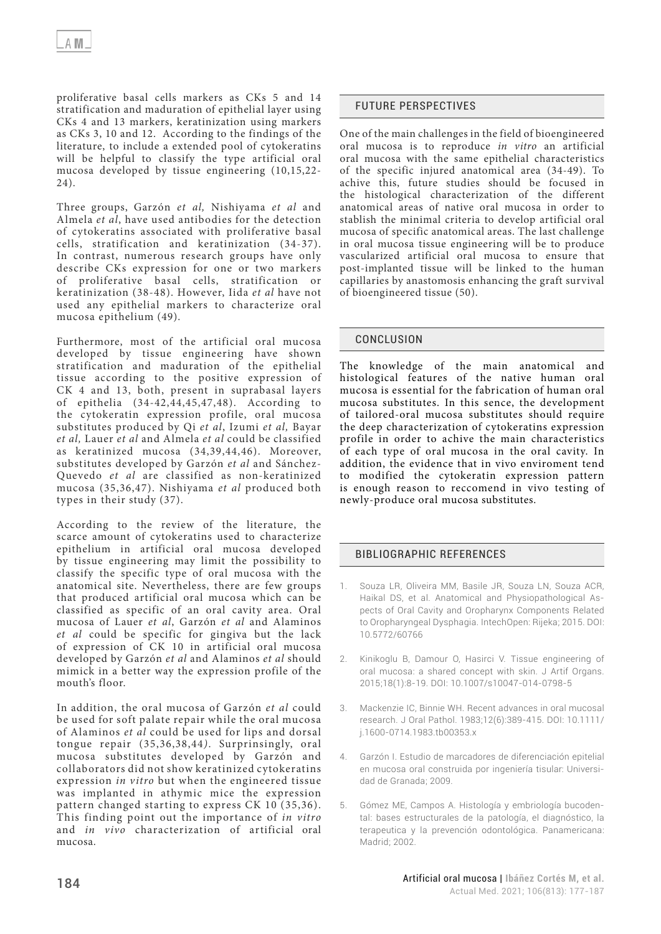proliferative basal cells markers as CKs 5 and 14 stratification and maduration of epithelial layer using CKs 4 and 13 markers, keratinization using markers as CKs 3, 10 and 12. According to the findings of the literature, to include a extended pool of cytokeratins will be helpful to classify the type artificial oral mucosa developed by tissue engineering (10,15,22- 24).

Three groups, Garzón *et al,* Nishiyama *et al* and Almela *et al*, have used antibodies for the detection of cytokeratins associated with proliferative basal cells, stratification and keratinization (34-37). In contrast, numerous research groups have only describe CKs expression for one or two markers of proliferative basal cells, stratification or keratinization (38-48). However, Iida *et al* have not used any epithelial markers to characterize oral mucosa epithelium (49).

Furthermore, most of the artificial oral mucosa developed by tissue engineering have shown stratification and maduration of the epithelial tissue according to the positive expression of CK 4 and 13, both, present in suprabasal layers of epithelia (34-42,44,45,47,48). According to the cytokeratin expression profile, oral mucosa substitutes produced by Qi *et al*, Izumi *et al,* Bayar *et al,* Lauer *et al* and Almela *et al* could be classified as keratinized mucosa (34,39,44,46). Moreover, substitutes developed by Garzón *et al* and Sánchez-Quevedo *et al* are classified as non-keratinized mucosa (35,36,47). Nishiyama *et al* produced both types in their study (37).

According to the review of the literature, the scarce amount of cytokeratins used to characterize epithelium in artificial oral mucosa developed by tissue engineering may limit the possibility to classify the specific type of oral mucosa with the anatomical site. Nevertheless, there are few groups that produced artificial oral mucosa which can be classified as specific of an oral cavity area. Oral mucosa of Lauer *et al*, Garzón *et al* and Alaminos *et al* could be specific for gingiva but the lack of expression of CK 10 in artificial oral mucosa developed by Garzón *et al* and Alaminos *et al* should mimick in a better way the expression profile of the mouth's floor.

In addition, the oral mucosa of Garzón *et al* could be used for soft palate repair while the oral mucosa of Alaminos *et al* could be used for lips and dorsal tongue repair (35,36,38,44*)*. Surprinsingly, oral mucosa substitutes developed by Garzón and collaborators did not show keratinized cytokeratins expression *in vitro* but when the engineered tissue was implanted in athymic mice the expression pattern changed starting to express CK 10 (35,36). This finding point out the importance of *in vitro* and *in vivo* characterization of artificial oral mucosa.

# FUTURE PERSPECTIVES

One of the main challenges in the field of bioengineered oral mucosa is to reproduce *in vitro* an artificial oral mucosa with the same epithelial characteristics of the specific injured anatomical area (34-49). To achive this, future studies should be focused in the histological characterization of the different anatomical areas of native oral mucosa in order to stablish the minimal criteria to develop artificial oral mucosa of specific anatomical areas. The last challenge in oral mucosa tissue engineering will be to produce vascularized artificial oral mucosa to ensure that post-implanted tissue will be linked to the human capillaries by anastomosis enhancing the graft survival of bioengineered tissue (50).

## CONCLUSION

The knowledge of the main anatomical and histological features of the native human oral mucosa is essential for the fabrication of human oral mucosa substitutes. In this sence, the development of tailored-oral mucosa substitutes should require the deep characterization of cytokeratins expression profile in order to achive the main characteristics of each type of oral mucosa in the oral cavity. In addition, the evidence that in vivo enviroment tend to modified the cytokeratin expression pattern is enough reason to reccomend in vivo testing of newly-produce oral mucosa substitutes.

## BIBLIOGRAPHIC REFERENCES

- 1. Souza LR, Oliveira MM, Basile JR, Souza LN, Souza ACR, Haikal DS, et al. Anatomical and Physiopathological Aspects of Oral Cavity and Oropharynx Components Related to Oropharyngeal Dysphagia. IntechOpen: Rijeka; 2015. DOI: [10.5772/60766](https://doi.org/10.5772/60766)
- 2. Kinikoglu B, Damour O, Hasirci V. Tissue engineering of oral mucosa: a shared concept with skin. J Artif Organs. 2015;18(1):8-19. DOI: [10.1007/s10047-014-0798-5](https://doi.org/10.1007/s10047-014-0798-5)
- 3. Mackenzie IC, Binnie WH. Recent advances in oral mucosal research. J Oral Pathol. 1983;12(6):389-415. DOI: [10.1111/](https://doi.org/10.1111/j.1600-0714.1983.tb00353.x) [j.1600-0714.1983.tb00353.x](https://doi.org/10.1111/j.1600-0714.1983.tb00353.x)
- 4. Garzón I. Estudio de marcadores de diferenciación epitelial en mucosa oral construida por ingeniería tisular: Universidad de Granada; 2009.
- 5. Gómez ME, Campos A. Histología y embriología bucodental: bases estructurales de la patología, el diagnóstico, la terapeutica y la prevención odontológica. Panamericana: Madrid; 2002.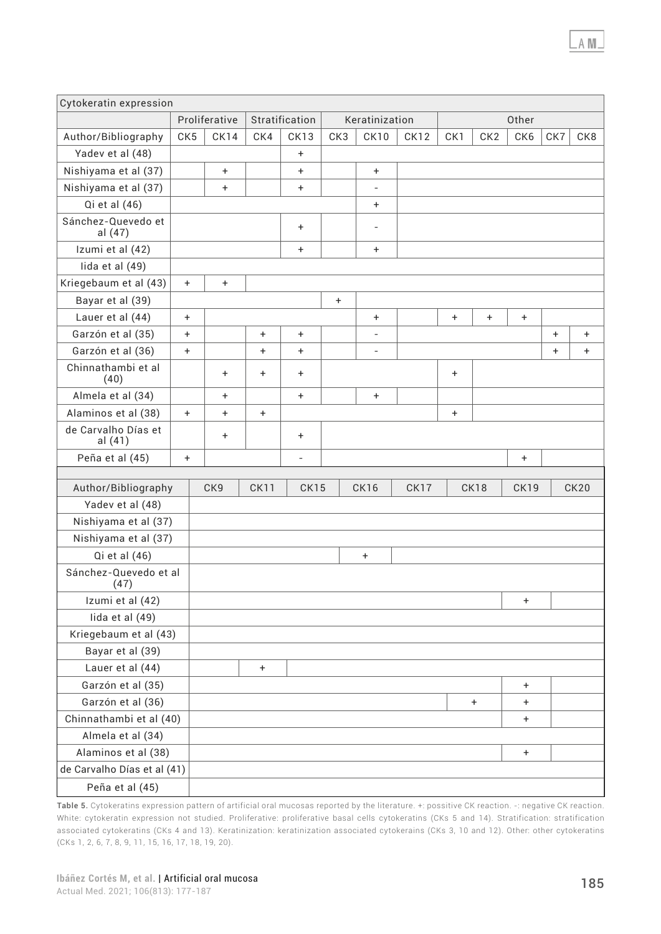| Cytokeratin expression           |                 |               |             |                |           |                          |      |           |                 |             |           |             |
|----------------------------------|-----------------|---------------|-------------|----------------|-----------|--------------------------|------|-----------|-----------------|-------------|-----------|-------------|
|                                  |                 | Proliferative |             | Stratification |           | Keratinization           |      |           |                 | Other       |           |             |
| Author/Bibliography              | CK <sub>5</sub> | CK14          | CK4         | CK13           | CK3       | CK10                     | CK12 | CK1       | CK <sub>2</sub> | CK6         | CK7       | CK8         |
| Yadev et al (48)                 |                 |               |             | $\ddot{}$      |           |                          |      |           |                 |             |           |             |
| Nishiyama et al (37)             |                 | $\ddot{}$     |             | $\ddot{}$      |           | $\ddot{}$                |      |           |                 |             |           |             |
| Nishiyama et al (37)             |                 | $\ddot{}$     |             | $\ddot{}$      |           | $\overline{\phantom{0}}$ |      |           |                 |             |           |             |
| Qi et al (46)                    |                 |               |             |                |           | $\ddot{}$                |      |           |                 |             |           |             |
| Sánchez-Quevedo et<br>al (47)    |                 |               |             | $\ddot{}$      |           | $\overline{\phantom{0}}$ |      |           |                 |             |           |             |
| Izumi et al (42)                 |                 |               |             | $\ddot{}$      |           | $\ddot{}$                |      |           |                 |             |           |             |
| lida et al (49)                  |                 |               |             |                |           |                          |      |           |                 |             |           |             |
| Kriegebaum et al (43)            | $\ddot{}$       | $\ddot{}$     |             |                |           |                          |      |           |                 |             |           |             |
| Bayar et al (39)                 |                 |               |             |                | $\ddot{}$ |                          |      |           |                 |             |           |             |
| Lauer et al (44)                 | $\ddot{}$       |               |             |                |           | $\ddot{}$                |      | $\ddot{}$ | $\ddot{}$       | $\ddot{}$   |           |             |
| Garzón et al (35)                | $\ddot{}$       |               | $\ddot{}$   | $\ddot{}$      |           | $\overline{\phantom{m}}$ |      |           |                 |             | $\ddot{}$ | $\ddot{}$   |
| Garzón et al (36)                | $\ddot{}$       |               | $\ddot{}$   | $+$            |           | $\overline{\phantom{0}}$ |      |           |                 |             | $\ddot{}$ | $\ddot{}$   |
| Chinnathambi et al<br>(40)       |                 | $\ddot{}$     | $\ddot{}$   | $\ddot{}$      |           |                          |      | +         |                 |             |           |             |
| Almela et al (34)                |                 | $\ddot{}$     |             | $+$            |           | $\ddot{}$                |      |           |                 |             |           |             |
| Alaminos et al (38)<br>$\ddot{}$ |                 | $\ddot{}$     | $\ddot{}$   |                |           |                          |      | $\ddot{}$ |                 |             |           |             |
| de Carvalho Días et<br>al (41)   |                 | $\ddot{}$     |             | $\ddot{}$      |           |                          |      |           |                 |             |           |             |
| Peña et al (45)                  |                 |               |             | $\overline{a}$ |           |                          |      |           |                 | $\ddot{}$   |           |             |
|                                  |                 |               |             |                |           |                          |      |           |                 |             |           |             |
| Author/Bibliography              |                 | CK9           | <b>CK11</b> | CK15           |           | <b>CK16</b>              | CK17 |           | CK18            | <b>CK19</b> |           | <b>CK20</b> |
| Yadev et al (48)                 |                 |               |             |                |           |                          |      |           |                 |             |           |             |
| Nishiyama et al (37)             |                 |               |             |                |           |                          |      |           |                 |             |           |             |
| Nishiyama et al (37)             |                 |               |             |                |           |                          |      |           |                 |             |           |             |
| Qi et al (46)                    |                 |               |             |                |           | $\pm$                    |      |           |                 |             |           |             |
| Sánchez-Quevedo et al<br>(47)    |                 |               |             |                |           |                          |      |           |                 |             |           |             |
| Izumi et al (42)                 |                 |               |             |                |           |                          |      |           |                 | ÷           |           |             |
| lida et al (49)                  |                 |               |             |                |           |                          |      |           |                 |             |           |             |
| Kriegebaum et al (43)            |                 |               |             |                |           |                          |      |           |                 |             |           |             |
| Bayar et al (39)                 |                 |               |             |                |           |                          |      |           |                 |             |           |             |
| Lauer et al (44)                 |                 |               | $\ddot{}$   |                |           |                          |      |           |                 |             |           |             |
| Garzón et al (35)                |                 |               |             |                |           |                          |      |           |                 | $\ddot{}$   |           |             |
| Garzón et al (36)                |                 |               |             |                |           |                          |      |           | $\ddot{}$       | $\ddot{}$   |           |             |
| Chinnathambi et al (40)          |                 |               |             |                |           |                          |      |           |                 | $\pm$       |           |             |
| Almela et al (34)                |                 |               |             |                |           |                          |      |           |                 |             |           |             |
| Alaminos et al (38)              |                 |               |             |                |           |                          |      |           |                 | $\ddot{}$   |           |             |
| de Carvalho Días et al (41)      |                 |               |             |                |           |                          |      |           |                 |             |           |             |
| Peña et al (45)                  |                 |               |             |                |           |                          |      |           |                 |             |           |             |

Table 5. Cytokeratins expression pattern of artificial oral mucosas reported by the literature. +: possitive CK reaction. -: negative CK reaction. White: cytokeratin expression not studied. Proliferative: proliferative basal cells cytokeratins (CKs 5 and 14). Stratification: stratification associated cytokeratins (CKs 4 and 13). Keratinization: keratinization associated cytokerains (CKs 3, 10 and 12). Other: other cytokeratins (CKs 1, 2, 6, 7, 8, 9, 11, 15, 16, 17, 18, 19, 20).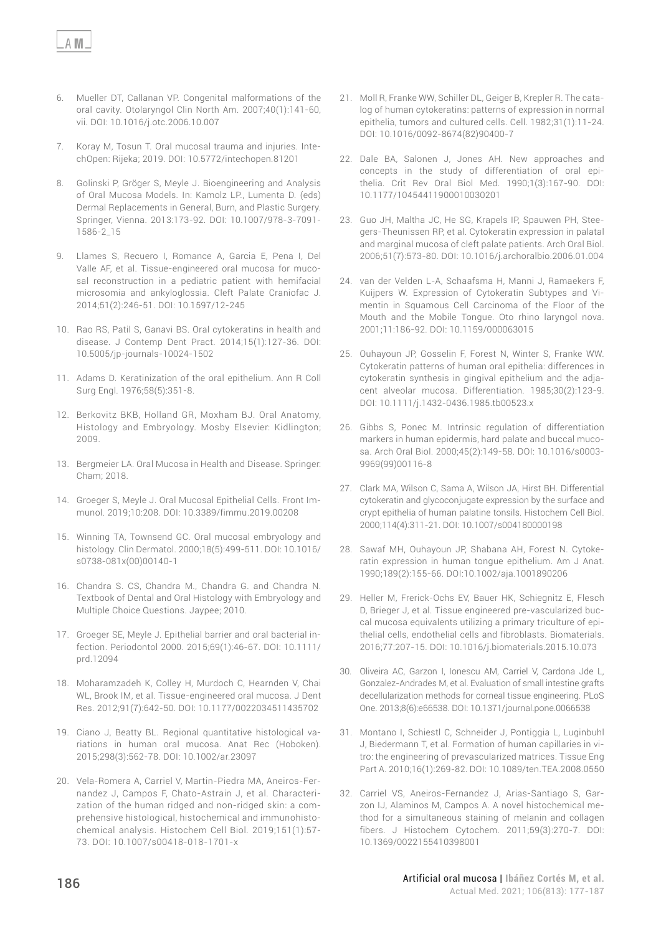- 6. Mueller DT, Callanan VP. Congenital malformations of the oral cavity. Otolaryngol Clin North Am. 2007;40(1):141-60, vii. DOI: [10.1016/j.otc.2006.10.007](https://doi.org/10.1016/j.otc.2006.10.007)
- 7. Koray M, Tosun T. Oral mucosal trauma and injuries. IntechOpen: Rijeka; 2019. DOI: [10.5772/intechopen.81201](https://doi.org/10.5772/intechopen.81201)
- 8. Golinski P, Gröger S, Meyle J. Bioengineering and Analysis of Oral Mucosa Models. In: Kamolz LP., Lumenta D. (eds) Dermal Replacements in General, Burn, and Plastic Surgery. Springer, Vienna. 2013:173-92. DOI: [10.1007/978-3-7091-](https://doi.org/10.1007/978-3-7091-1586-2_15) [1586-2\\_15](https://doi.org/10.1007/978-3-7091-1586-2_15)
- 9. Llames S, Recuero I, Romance A, Garcia E, Pena I, Del Valle AF, et al. Tissue-engineered oral mucosa for mucosal reconstruction in a pediatric patient with hemifacial microsomia and ankyloglossia. Cleft Palate Craniofac J. 2014;51(2):246-51. DOI: [10.1597/12-245](https://doi.org/10.1597/12-245)
- 10. Rao RS, Patil S, Ganavi BS. Oral cytokeratins in health and disease. J Contemp Dent Pract. 2014;15(1):127-36. DOI: [10.5005/jp-journals-10024-1502](https://doi.org/10.5005/jp-journals-10024-1502)
- 11. Adams D. Keratinization of the oral epithelium. Ann R Coll Surg Engl. 1976;58(5):351-8.
- 12. Berkovitz BKB, Holland GR, Moxham BJ. Oral Anatomy, Histology and Embryology. Mosby Elsevier: Kidlington; 2009.
- 13. Bergmeier LA. Oral Mucosa in Health and Disease. Springer: Cham; 2018.
- 14. Groeger S, Meyle J. Oral Mucosal Epithelial Cells. Front Immunol. 2019;10:208. DOI: [10.3389/fimmu.2019.00208](https://doi.org/10.3389/fimmu.2019.00208)
- 15. Winning TA, Townsend GC. Oral mucosal embryology and histology. Clin Dermatol. 2000;18(5):499-511. DOI: [10.1016/](https://doi.org/10.1016/s0738-081x(00)00140-1) [s0738-081x\(00\)00140-1](https://doi.org/10.1016/s0738-081x(00)00140-1)
- 16. Chandra S. CS, Chandra M., Chandra G. and Chandra N. Textbook of Dental and Oral Histology with Embryology and Multiple Choice Questions. Jaypee; 2010.
- 17. Groeger SE, Meyle J. Epithelial barrier and oral bacterial infection. Periodontol 2000. 2015;69(1):46-67. DOI: [10.1111/](https://doi.org/10.1111/prd.12094) [prd.12094](https://doi.org/10.1111/prd.12094)
- 18. Moharamzadeh K, Colley H, Murdoch C, Hearnden V, Chai WL, Brook IM, et al. Tissue-engineered oral mucosa. J Dent Res. 2012;91(7):642-50. DOI: [10.1177/0022034511435702](https://doi.org/10.1177/0022034511435702)
- 19. Ciano J, Beatty BL. Regional quantitative histological variations in human oral mucosa. Anat Rec (Hoboken). 2015;298(3):562-78. DOI: [10.1002/ar.23097](https://doi.org/10.1002/ar.23097)
- 20. Vela-Romera A, Carriel V, Martin-Piedra MA, Aneiros-Fernandez J, Campos F, Chato-Astrain J, et al. Characterization of the human ridged and non-ridged skin: a comprehensive histological, histochemical and immunohistochemical analysis. Histochem Cell Biol. 2019;151(1):57- 73. DOI: [10.1007/s00418-018-1701-x](https://doi.org/10.1007/s00418-018-1701-x)
- 21. Moll R, Franke WW, Schiller DL, Geiger B, Krepler R. The catalog of human cytokeratins: patterns of expression in normal epithelia, tumors and cultured cells. Cell. 1982;31(1):11-24. DOI: [10.1016/0092-8674\(82\)90400-7](https://doi.org/10.1016/0092-8674(82)90400-7)
- 22. Dale BA, Salonen J, Jones AH. New approaches and concepts in the study of differentiation of oral epithelia. Crit Rev Oral Biol Med. 1990;1(3):167-90. DOI: [10.1177/10454411900010030201](https://doi.org/10.1177/10454411900010030201)
- 23. Guo JH, Maltha JC, He SG, Krapels IP, Spauwen PH, Steegers-Theunissen RP, et al. Cytokeratin expression in palatal and marginal mucosa of cleft palate patients. Arch Oral Biol. 2006;51(7):573-80. DOI: [10.1016/j.archoralbio.2006.01.004](https://doi.org/10.1016/j.archoralbio.2006.01.004)
- 24. van der Velden L-A, Schaafsma H, Manni J, Ramaekers F, Kuijpers W. Expression of Cytokeratin Subtypes and Vimentin in Squamous Cell Carcinoma of the Floor of the Mouth and the Mobile Tongue. Oto rhino laryngol nova. 2001;11:186-92. DOI: [10.1159/000063015](https://doi.org/10.1159/000063015)
- 25. Ouhayoun JP, Gosselin F, Forest N, Winter S, Franke WW. Cytokeratin patterns of human oral epithelia: differences in cytokeratin synthesis in gingival epithelium and the adjacent alveolar mucosa. Differentiation. 1985;30(2):123-9. DOI: [10.1111/j.1432-0436.1985.tb00523.x](https://doi.org/10.1111/j.1432-0436.1985.tb00523.x)
- 26. Gibbs S, Ponec M. Intrinsic regulation of differentiation markers in human epidermis, hard palate and buccal mucosa. Arch Oral Biol. 2000;45(2):149-58. DOI: [10.1016/s0003-](https://doi.org/10.1016/s0003-9969(99)00116-8) [9969\(99\)00116-8](https://doi.org/10.1016/s0003-9969(99)00116-8)
- 27. Clark MA, Wilson C, Sama A, Wilson JA, Hirst BH. Differential cytokeratin and glycoconjugate expression by the surface and crypt epithelia of human palatine tonsils. Histochem Cell Biol. 2000;114(4):311-21. DOI: [10.1007/s004180000198](https://doi.org/10.1007/s004180000198)
- 28. Sawaf MH, Ouhayoun JP, Shabana AH, Forest N. Cytokeratin expression in human tongue epithelium. Am J Anat. 1990;189(2):155-66. DOI:[10.1002/aja.1001890206](https://doi.org/10.1002/aja.1001890206)
- 29. Heller M, Frerick-Ochs EV, Bauer HK, Schiegnitz E, Flesch D, Brieger J, et al. Tissue engineered pre-vascularized buccal mucosa equivalents utilizing a primary triculture of epithelial cells, endothelial cells and fibroblasts. Biomaterials. 2016;77:207-15. DOI: [10.1016/j.biomaterials.2015.10.073](https://doi.org/10.1016/j.biomaterials.2015.10.073)
- 30. Oliveira AC, Garzon I, Ionescu AM, Carriel V, Cardona Jde L, Gonzalez-Andrades M, et al. Evaluation of small intestine grafts decellularization methods for corneal tissue engineering. PLoS One. 2013;8(6):e66538. DOI: [10.1371/journal.pone.0066538](https://doi.org/10.1371/journal.pone.0066538)
- 31. Montano I, Schiestl C, Schneider J, Pontiggia L, Luginbuhl J, Biedermann T, et al. Formation of human capillaries in vitro: the engineering of prevascularized matrices. Tissue Eng Part A. 2010;16(1):269-82. DOI: [10.1089/ten.TEA.2008.0550](https://doi.org/10.1089/ten.tea.2008.0550)
- 32. Carriel VS, Aneiros-Fernandez J, Arias-Santiago S, Garzon IJ, Alaminos M, Campos A. A novel histochemical method for a simultaneous staining of melanin and collagen fibers. J Histochem Cytochem. 2011;59(3):270-7. DOI: [10.1369/0022155410398001](https://doi.org/10.1369/0022155410398001)